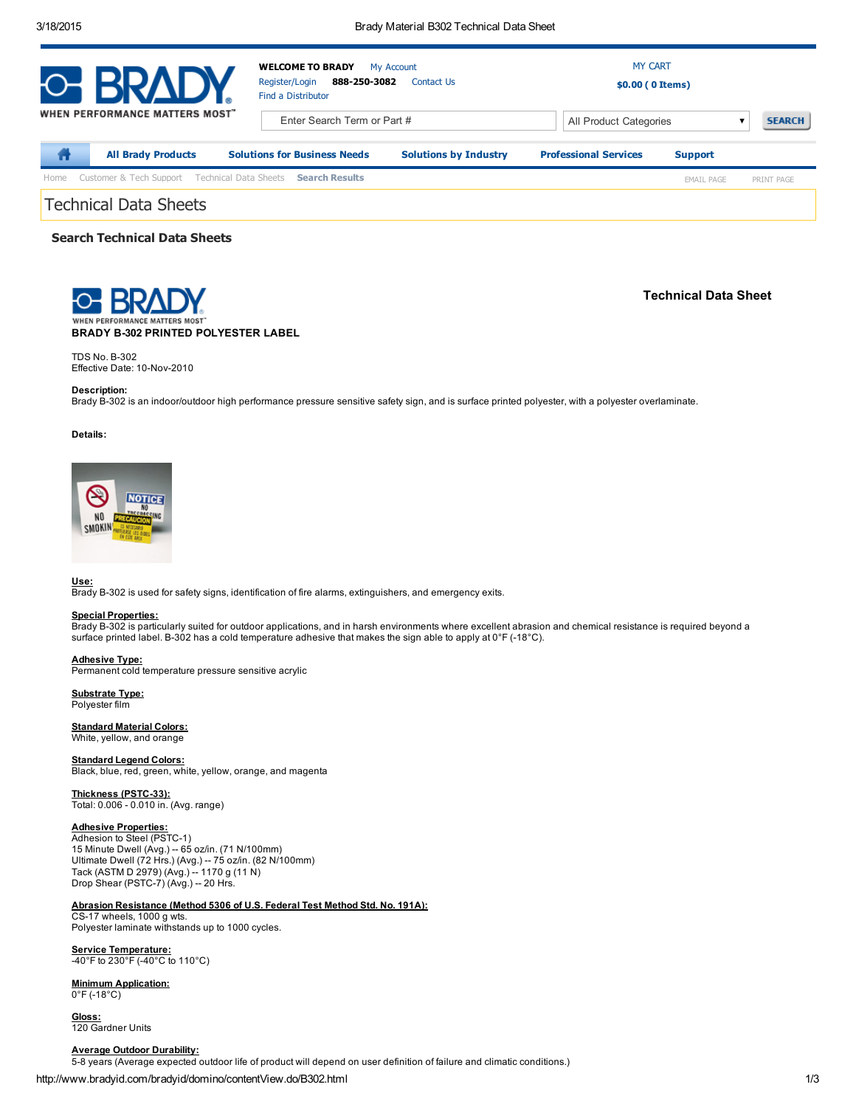| O BRAD                |                                               | <b>WELCOME TO BRADY</b><br>My Account<br>888-250-3082<br>Register/Login<br>Contact Us<br>Find a Distributor |                              | <b>MY CART</b><br>\$0.00 (0 Items) |                   |               |  |  |
|-----------------------|-----------------------------------------------|-------------------------------------------------------------------------------------------------------------|------------------------------|------------------------------------|-------------------|---------------|--|--|
|                       | <b>WHEN PERFORMANCE MATTERS MOST"</b>         | Enter Search Term or Part #                                                                                 |                              | All Product Categories             |                   | <b>SEARCH</b> |  |  |
| π                     | <b>All Brady Products</b>                     | <b>Solutions for Business Needs</b>                                                                         | <b>Solutions by Industry</b> | <b>Professional Services</b>       | <b>Support</b>    |               |  |  |
| Home                  | Customer & Tech Support Technical Data Sheets | <b>Search Results</b>                                                                                       |                              |                                    | <b>EMAIL PAGE</b> | PRINT PAGE    |  |  |
| Technical Data Sheets |                                               |                                                                                                             |                              |                                    |                   |               |  |  |

# Search Technical Data Sheets

BRADY B-302 PRINTED POLYESTER LABEL

Technical Data Sheet

TDS No. B-302 Effective Date: 10-Nov-2010

## Description:

Brady B-302 is an indoor/outdoor high performance pressure sensitive safety sign, and is surface printed polyester, with a polyester overlaminate.

#### Details:



## Use:

Brady B-302 is used for safety signs, identification of fire alarms, extinguishers, and emergency exits.

## Special Properties:

Brady B-302 is particularly suited for outdoor applications, and in harsh environments where excellent abrasion and chemical resistance is required beyond a surface printed label. B-302 has a cold temperature adhesive that makes the sign able to apply at 0°F (-18°C).

#### Adhesive Type:

Permanent cold temperature pressure sensitive acrylic

Substrate Type: Polyester film

## **Standard Material Colors:**

White, yellow, and orange

# **Standard Legend Colors:**

Black, blue, red, green, white, yellow, orange, and magenta

Thickness (PSTC-33): Total: 0.006 - 0.010 in. (Avg. range)

## Adhesive Properties:

Adhesion to Steel (PSTC-1) 15 Minute Dwell (Avg.) -- 65 oz/in. (71 N/100mm)<br>Ultimate Dwell (72 Hrs.) (Avg.) -- 75 oz/in. (82 N/100mm)<br>Tack (ASTM D 2979) (Avg.) -- 1170 g (11 N)<br>Drop Shear (PSTC-7) (Avg.) -- 20 Hrs.

## Abrasion Resistance (Method 5306 of U.S. Federal Test Method Std. No. 191A):

CS17 wheels, 1000 g wts. Polyester laminate withstands up to 1000 cycles.

**<u>Service Temperature:</u><br>-40°F to 230°F (-40°C to 110°C)** 

# Minimum Application:

 $0^{\circ}$ F (-18 $^{\circ}$ C)

Gloss: 120 Gardner Units

http://www.bradyid.com/bradyid/domino/contentView.do/B302.html 1/3 Average Outdoor Durability: 5-8 years (Average expected outdoor life of product will depend on user definition of failure and climatic conditions.)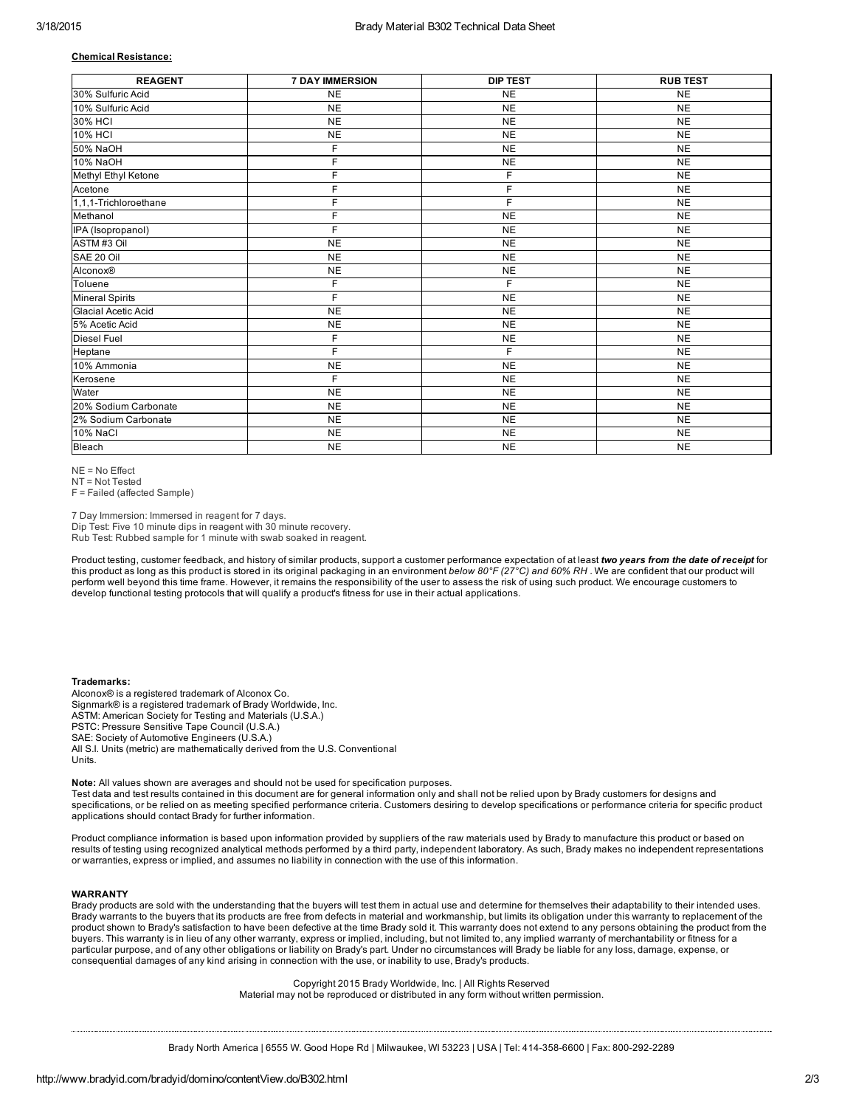### Chemical Resistance:

| <b>REAGENT</b>         | <b>7 DAY IMMERSION</b> | <b>DIP TEST</b> | <b>RUB TEST</b> |
|------------------------|------------------------|-----------------|-----------------|
| 30% Sulfuric Acid      | <b>NE</b>              | <b>NE</b>       | <b>NE</b>       |
| 10% Sulfuric Acid      | <b>NE</b>              | <b>NE</b>       | <b>NE</b>       |
| 30% HCI                | <b>NE</b>              | <b>NE</b>       | <b>NE</b>       |
| <b>10% HCI</b>         | <b>NE</b>              | <b>NE</b>       | <b>NE</b>       |
| 50% NaOH               | F                      | <b>NE</b>       | <b>NE</b>       |
| 10% NaOH               | F                      | <b>NE</b>       | <b>NE</b>       |
| Methyl Ethyl Ketone    | F                      | F               | <b>NE</b>       |
| Acetone                | F                      | F               | <b>NE</b>       |
| 1,1,1-Trichloroethane  | F                      | F               | <b>NE</b>       |
| Methanol               | F                      | <b>NE</b>       | <b>NE</b>       |
| IPA (Isopropanol)      | F                      | <b>NE</b>       | <b>NE</b>       |
| ASTM#3 Oil             | <b>NE</b>              | <b>NE</b>       | <b>NE</b>       |
| SAE 20 Oil             | <b>NE</b>              | <b>NE</b>       | <b>NE</b>       |
| Alconox®               | <b>NE</b>              | <b>NE</b>       | <b>NE</b>       |
| Toluene                | F                      | F               | <b>NE</b>       |
| <b>Mineral Spirits</b> | F                      | <b>NE</b>       | <b>NE</b>       |
| Glacial Acetic Acid    | <b>NE</b>              | <b>NE</b>       | <b>NE</b>       |
| 5% Acetic Acid         | <b>NE</b>              | <b>NE</b>       | <b>NE</b>       |
| <b>Diesel Fuel</b>     | F                      | <b>NE</b>       | <b>NE</b>       |
| Heptane                | F                      | F               | <b>NE</b>       |
| 10% Ammonia            | <b>NE</b>              | <b>NE</b>       | <b>NE</b>       |
| Kerosene               | F.                     | <b>NE</b>       | <b>NE</b>       |
| Water                  | <b>NE</b>              | <b>NE</b>       | <b>NE</b>       |
| 20% Sodium Carbonate   | <b>NE</b>              | <b>NE</b>       | <b>NE</b>       |
| 2% Sodium Carbonate    | <b>NE</b>              | <b>NE</b>       | <b>NE</b>       |
| <b>10% NaCl</b>        | <b>NE</b>              | <b>NE</b>       | <b>NE</b>       |
| Bleach                 | <b>NE</b>              | <b>NE</b>       | <b>NE</b>       |

 $NF = N \cap F$  ffect

NT = Not Tested

F = Failed (affected Sample)

7 Day Immersion: Immersed in reagent for 7 days.

Dip Test: Five 10 minute dips in reagent with 30 minute recovery.

Rub Test: Rubbed sample for 1 minute with swab soaked in reagent.

Product testing, customer feedback, and history of similar products, support a customer performance expectation of at least *two years from the date of receipt* for this product as long as this product is stored in its original packaging in an environment *below 80°F (27°C) and 60% RH* . We are confident that our product will perform well beyond this time frame. However, it remains the responsibility of the user to assess the risk of using such product. We encourage customers to develop functional testing protocols that will qualify a product's fitness for use in their actual applications.

### Trademarks:

Alconox® is a registered trademark of Alconox Co. Signmark® is a registered trademark of Brady Worldwide, Inc. ASTM: American Society for Testing and Materials (U.S.A.) PSTC: Pressure Sensitive Tape Council (U.S.A.) SAE: Society of Automotive Engineers (U.S.A.) All S.I. Units (metric) are mathematically derived from the U.S. Conventional Units.

Note: All values shown are averages and should not be used for specification purposes. Test data and test results contained in this document are for general information only and shall not be relied upon by Brady customers for designs and specifications, or be relied on as meeting specified performance criteria. Customers desiring to develop specifications or performance criteria for specific product applications should contact Brady for further information.

Product compliance information is based upon information provided by suppliers of the raw materials used by Brady to manufacture this product or based on results of testing using recognized analytical methods performed by a third party, independent laboratory. As such, Brady makes no independent representations or warranties, express or implied, and assumes no liability in connection with the use of this information.

## WARRANTY

Brady products are sold with the understanding that the buyers will test them in actual use and determine for themselves their adaptability to their intended uses. Brady warrants to the buyers that its products are free from defects in material and workmanship, but limits its obligation under this warranty to replacement of the<br>product shown to Brady's satisfaction to have been defec buyers. This warranty is in lieu of any other warranty, express or implied, including, but not limited to, any implied warranty of merchantability or fitness for a<br>particular purpose, and of any other obligations or liabil consequential damages of any kind arising in connection with the use, or inability to use, Brady's products.

> Copyright 2015 Brady Worldwide, Inc. | All Rights Reserved Material may not be reproduced or distributed in any form without written permission.